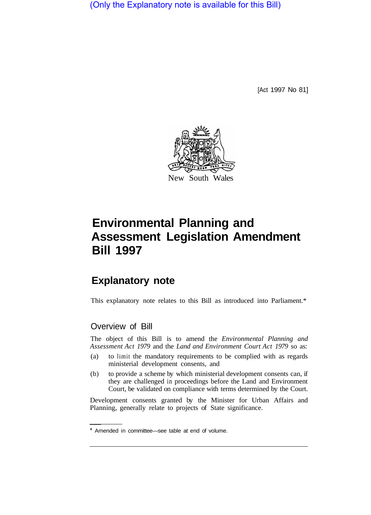(Only the Explanatory note is available for this Bill)

[Act 1997 No 81]



# **Environmental Planning and Assessment Legislation Amendment Bill 1997**

# **Explanatory note**

This explanatory note relates to this Bill as introduced into Parliament.\*

## Overview of Bill

The object of this Bill is to amend the *Environmental Planning and Assessment Act 1979* and the *Land and Environment Court Act 1979* so as:

- (a) to limit the mandatory requirements to be complied with as regards ministerial development consents, and
- (b) to provide a scheme by which ministerial development consents can, if they are challenged in proceedings before the Land and Environment Court, be validated on compliance with terms determined by the Court.

Development consents granted by the Minister for Urban Affairs and Planning, generally relate to projects of State significance.

<sup>\*</sup> Amended in committee—see table at end of volume.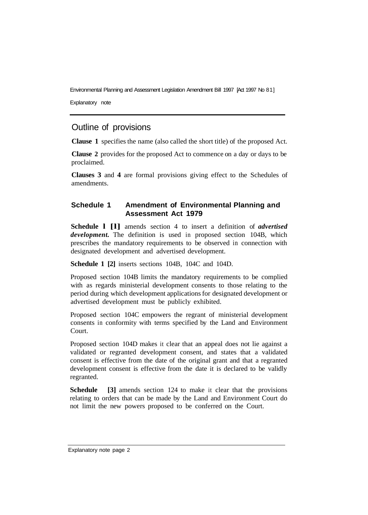Environmental Planning and Assessment Legislation Amendment Bill 1997 [Act 1997 No 81]

Explanatory note

### Outline of provisions

**Clause 1** specifies the name (also called the short title) of the proposed Act.

**Clause 2** provides for the proposed Act to commence on a day or days to be proclaimed.

**Clauses 3** and **4** are formal provisions giving effect to the Schedules of amendments.

#### **Schedule 1 Amendment of Environmental Planning and Assessment Act 1979**

**Schedule l [l]** amends section 4 to insert a definition of *advertised development.* The definition is used in proposed section 104B, which prescribes the mandatory requirements to be observed in connection with designated development and advertised development.

**Schedule 1 [2]** inserts sections 104B, 104C and 104D.

Proposed section 104B limits the mandatory requirements to be complied with as regards ministerial development consents to those relating to the period during which development applications for designated development or advertised development must be publicly exhibited.

Proposed section 104C empowers the regrant of ministerial development consents in conformity with terms specified by the Land and Environment Court.

Proposed section 104D makes it clear that an appeal does not lie against a validated or regranted development consent, and states that a validated consent is effective from the date of the original grant and that a regranted development consent is effective from the date it is declared to be validly regranted.

**Schedule** [3] amends section 124 to make it clear that the provisions relating to orders that can be made by the Land and Environment Court do not limit the new powers proposed to be conferred on the Court.